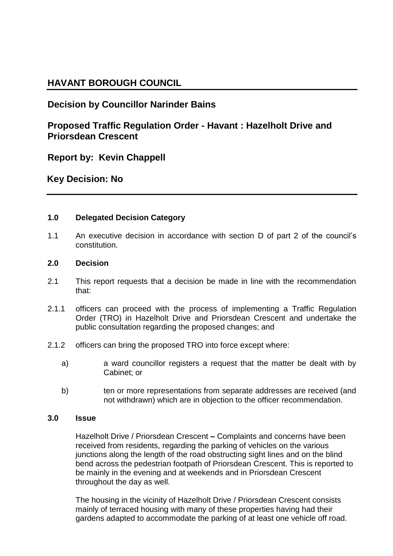# **HAVANT BOROUGH COUNCIL**

# **Decision by Councillor Narinder Bains**

## **Proposed Traffic Regulation Order - Havant : Hazelholt Drive and Priorsdean Crescent**

**Report by: Kevin Chappell**

**Key Decision: No**

### **1.0 Delegated Decision Category**

1.1 An executive decision in accordance with section D of part 2 of the council's constitution.

### **2.0 Decision**

- 2.1 This report requests that a decision be made in line with the recommendation that:
- 2.1.1 officers can proceed with the process of implementing a Traffic Regulation Order (TRO) in Hazelholt Drive and Priorsdean Crescent and undertake the public consultation regarding the proposed changes; and
- 2.1.2 officers can bring the proposed TRO into force except where:
	- a) a ward councillor registers a request that the matter be dealt with by Cabinet; or
	- b) ten or more representations from separate addresses are received (and not withdrawn) which are in objection to the officer recommendation.

### **3.0 Issue**

Hazelholt Drive / Priorsdean Crescent **–** Complaints and concerns have been received from residents, regarding the parking of vehicles on the various junctions along the length of the road obstructing sight lines and on the blind bend across the pedestrian footpath of Priorsdean Crescent. This is reported to be mainly in the evening and at weekends and in Priorsdean Crescent throughout the day as well.

The housing in the vicinity of Hazelholt Drive / Priorsdean Crescent consists mainly of terraced housing with many of these properties having had their gardens adapted to accommodate the parking of at least one vehicle off road.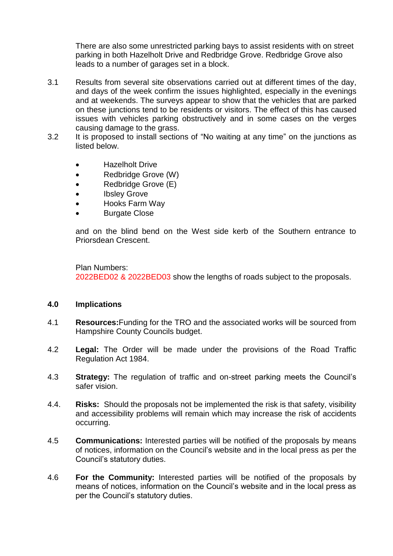There are also some unrestricted parking bays to assist residents with on street parking in both Hazelholt Drive and Redbridge Grove. Redbridge Grove also leads to a number of garages set in a block.

- 3.1 Results from several site observations carried out at different times of the day, and days of the week confirm the issues highlighted, especially in the evenings and at weekends. The surveys appear to show that the vehicles that are parked on these junctions tend to be residents or visitors. The effect of this has caused issues with vehicles parking obstructively and in some cases on the verges causing damage to the grass.
- 3.2 It is proposed to install sections of "No waiting at any time" on the junctions as listed below.
	- Hazelholt Drive
	- Redbridge Grove (W)
	- Redbridge Grove (E)
	- Ibsley Grove
	- Hooks Farm Way
	- Burgate Close

and on the blind bend on the West side kerb of the Southern entrance to Priorsdean Crescent.

Plan Numbers: 2022BED02 & 2022BED03 show the lengths of roads subject to the proposals.

#### **4.0 Implications**

- 4.1 **Resources:**Funding for the TRO and the associated works will be sourced from Hampshire County Councils budget.
- 4.2 **Legal:** The Order will be made under the provisions of the Road Traffic Regulation Act 1984.
- 4.3 **Strategy:** The regulation of traffic and on-street parking meets the Council's safer vision.
- 4.4. **Risks:** Should the proposals not be implemented the risk is that safety, visibility and accessibility problems will remain which may increase the risk of accidents occurring.
- 4.5 **Communications:** Interested parties will be notified of the proposals by means of notices, information on the Council's website and in the local press as per the Council's statutory duties.
- 4.6 **For the Community:** Interested parties will be notified of the proposals by means of notices, information on the Council's website and in the local press as per the Council's statutory duties.